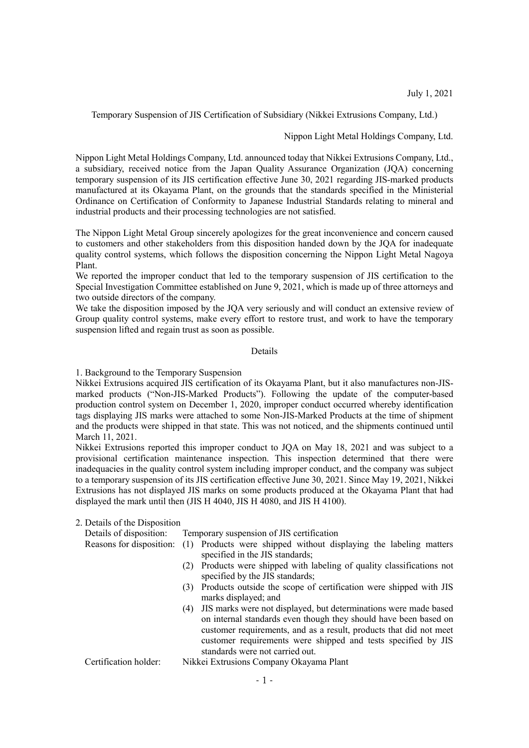July 1, 2021

Temporary Suspension of JIS Certification of Subsidiary (Nikkei Extrusions Company, Ltd.)

### Nippon Light Metal Holdings Company, Ltd.

Nippon Light Metal Holdings Company, Ltd. announced today that Nikkei Extrusions Company, Ltd., a subsidiary, received notice from the Japan Quality Assurance Organization (JQA) concerning temporary suspension of its JIS certification effective June 30, 2021 regarding JIS-marked products manufactured at its Okayama Plant, on the grounds that the standards specified in the Ministerial Ordinance on Certification of Conformity to Japanese Industrial Standards relating to mineral and industrial products and their processing technologies are not satisfied.

The Nippon Light Metal Group sincerely apologizes for the great inconvenience and concern caused to customers and other stakeholders from this disposition handed down by the JQA for inadequate quality control systems, which follows the disposition concerning the Nippon Light Metal Nagoya Plant.

We reported the improper conduct that led to the temporary suspension of JIS certification to the Special Investigation Committee established on June 9, 2021, which is made up of three attorneys and two outside directors of the company.

We take the disposition imposed by the JQA very seriously and will conduct an extensive review of Group quality control systems, make every effort to restore trust, and work to have the temporary suspension lifted and regain trust as soon as possible.

#### Details

1. Background to the Temporary Suspension

Nikkei Extrusions acquired JIS certification of its Okayama Plant, but it also manufactures non-JISmarked products ("Non-JIS-Marked Products"). Following the update of the computer-based production control system on December 1, 2020, improper conduct occurred whereby identification tags displaying JIS marks were attached to some Non-JIS-Marked Products at the time of shipment and the products were shipped in that state. This was not noticed, and the shipments continued until March 11, 2021.

Nikkei Extrusions reported this improper conduct to JQA on May 18, 2021 and was subject to a provisional certification maintenance inspection. This inspection determined that there were inadequacies in the quality control system including improper conduct, and the company was subject to a temporary suspension of its JIS certification effective June 30, 2021. Since May 19, 2021, Nikkei Extrusions has not displayed JIS marks on some products produced at the Okayama Plant that had displayed the mark until then (JIS H 4040, JIS H 4080, and JIS H 4100).

#### 2. Details of the Disposition

Details of disposition: Temporary suspension of JIS certification

- Reasons for disposition: (1) Products were shipped without displaying the labeling matters specified in the JIS standards;
	- (2) Products were shipped with labeling of quality classifications not specified by the JIS standards;
	- (3) Products outside the scope of certification were shipped with JIS marks displayed; and
	- (4) JIS marks were not displayed, but determinations were made based on internal standards even though they should have been based on customer requirements, and as a result, products that did not meet customer requirements were shipped and tests specified by JIS standards were not carried out.
- Certification holder: Nikkei Extrusions Company Okayama Plant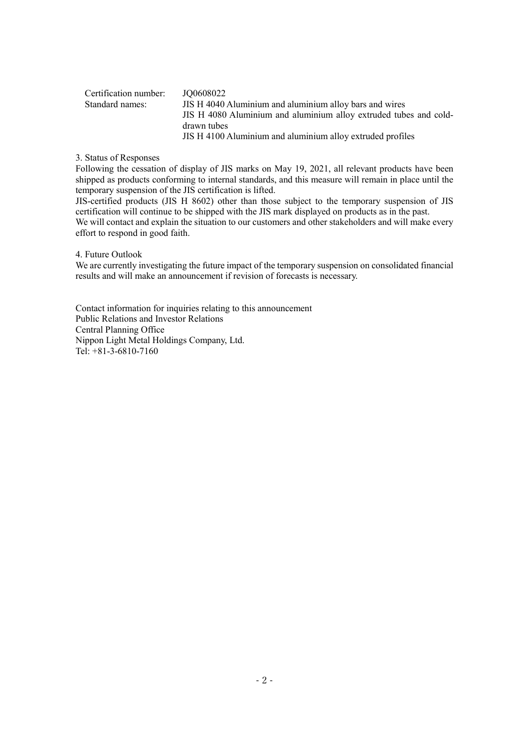| Certification number: | JO0608022                                                         |
|-----------------------|-------------------------------------------------------------------|
| Standard names:       | JIS H 4040 Aluminium and aluminium alloy bars and wires           |
|                       | JIS H 4080 Aluminium and aluminium alloy extruded tubes and cold- |
|                       | drawn tubes                                                       |
|                       | JIS H 4100 Aluminium and aluminium alloy extruded profiles        |

3. Status of Responses

Following the cessation of display of JIS marks on May 19, 2021, all relevant products have been shipped as products conforming to internal standards, and this measure will remain in place until the temporary suspension of the JIS certification is lifted.

JIS-certified products (JIS H 8602) other than those subject to the temporary suspension of JIS certification will continue to be shipped with the JIS mark displayed on products as in the past.

We will contact and explain the situation to our customers and other stakeholders and will make every effort to respond in good faith.

4. Future Outlook

We are currently investigating the future impact of the temporary suspension on consolidated financial results and will make an announcement if revision of forecasts is necessary.

Contact information for inquiries relating to this announcement Public Relations and Investor Relations Central Planning Office Nippon Light Metal Holdings Company, Ltd. Tel: +81-3-6810-7160